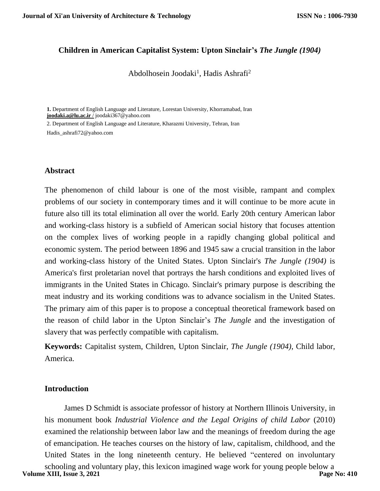### **Children in American Capitalist System: Upton Sinclair's** *The Jungle (1904)*

Abdolhosein Joodaki<sup>1</sup>, Hadis Ashrafi<sup>2</sup>

**1.** Department of English Language and Literature, Lorestan University, Khorramabad, Iran **[joodaki.a@lu.ac.ir](mailto:joodaki.a@lu.ac.ir%20/)** / joodaki367@yahoo.com

2. Department of English Language and Literature, Kharazmi University, Tehran, Iran Hadis\_ashrafi72@yahoo.com

### **Abstract**

The phenomenon of child labour is one of the most visible, rampant and complex problems of our society in contemporary times and it will continue to be more acute in future also till its total elimination all over the world. Early 20th century American labor and working-class history is a subfield of American social history that focuses attention on the complex lives of working people in a rapidly changing global political and economic system. The period between 1896 and 1945 saw a crucial transition in the labor and working-class history of the United States. Upton Sinclair's *The Jungle (1904)* is America's first proletarian novel that portrays the harsh conditions and exploited lives of immigrants in the United States in Chicago. Sinclair's primary purpose is describing the meat industry and its working conditions was to advance socialism in the United States. The primary aim of this paper is to propose a conceptual theoretical framework based on the reason of child labor in the Upton Sinclair's *The Jungle* and the investigation of slavery that was perfectly compatible with capitalism.

**Keywords:** Capitalist system, Children, Upton Sinclair, *The Jungle (1904)*, Child labor, America.

### **Introduction**

James D Schmidt is associate professor of history at Northern Illinois University, in his monument book *Industrial Violence and the Legal Origins of child Labor* (2010) examined the relationship between labor law and the meanings of freedom during the age of emancipation. He teaches courses on the history of law, capitalism, childhood, and the United States in the long nineteenth century. He believed "centered on involuntary schooling and voluntary play, this lexicon imagined wage work for young people below a **Volume XIII, Issue 3, 2021 Page No: 410**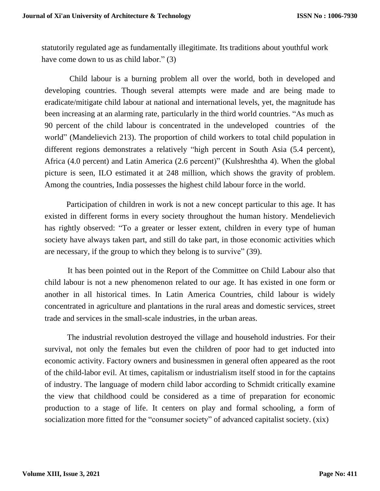statutorily regulated age as fundamentally illegitimate. Its traditions about youthful work have come down to us as child labor." (3)

Child labour is a burning problem all over the world, both in developed and developing countries. Though several attempts were made and are being made to eradicate/mitigate child labour at national and international levels, yet, the magnitude has been increasing at an alarming rate, particularly in the third world countries. "As much as 90 percent of the child labour is concentrated in the undeveloped countries of the world" (Mandelievich 213). The proportion of child workers to total child population in different regions demonstrates a relatively "high percent in South Asia (5.4 percent), Africa (4.0 percent) and Latin America (2.6 percent)" (Kulshreshtha 4). When the global picture is seen, ILO estimated it at 248 million, which shows the gravity of problem. Among the countries, India possesses the highest child labour force in the world.

Participation of children in work is not a new concept particular to this age. It has existed in different forms in every society throughout the human history. Mendelievich has rightly observed: "To a greater or lesser extent, children in every type of human society have always taken part, and still do take part, in those economic activities which are necessary, if the group to which they belong is to survive" (39).

It has been pointed out in the Report of the Committee on Child Labour also that child labour is not a new phenomenon related to our age. It has existed in one form or another in all historical times. In Latin America Countries, child labour is widely concentrated in agriculture and plantations in the rural areas and domestic services, street trade and services in the small-scale industries, in the urban areas.

The industrial revolution destroyed the village and household industries. For their survival, not only the females but even the children of poor had to get inducted into economic activity. Factory owners and businessmen in general often appeared as the root of the child-labor evil. At times, capitalism or industrialism itself stood in for the captains of industry. The language of modern child labor according to Schmidt critically examine the view that childhood could be considered as a time of preparation for economic production to a stage of life. It centers on play and formal schooling, a form of socialization more fitted for the "consumer society" of advanced capitalist society. (xix)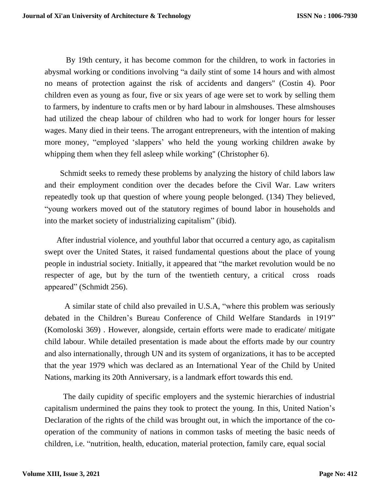By 19th century, it has become common for the children, to work in factories in abysmal working or conditions involving "a daily stint of some 14 hours and with almost no means of protection against the risk of accidents and dangers" (Costin 4). Poor children even as young as four, five or six years of age were set to work by selling them to farmers, by indenture to crafts men or by hard labour in almshouses. These almshouses had utilized the cheap labour of children who had to work for longer hours for lesser wages. Many died in their teens. The arrogant entrepreneurs, with the intention of making more money, "employed 'slappers' who held the young working children awake by whipping them when they fell asleep while working" (Christopher 6).

Schmidt seeks to remedy these problems by analyzing the history of child labors law and their employment condition over the decades before the Civil War. Law writers repeatedly took up that question of where young people belonged. (134) They believed, "young workers moved out of the statutory regimes of bound labor in households and into the market society of industrializing capitalism" (ibid).

After industrial violence, and youthful labor that occurred a century ago, as capitalism swept over the United States, it raised fundamental questions about the place of young people in industrial society. Initially, it appeared that "the market revolution would be no respecter of age, but by the turn of the twentieth century, a critical cross roads appeared" (Schmidt 256).

A similar state of child also prevailed in U.S.A, "where this problem was seriously debated in the Children's Bureau Conference of Child Welfare Standards in 1919" (Komoloski 369) . However, alongside, certain efforts were made to eradicate/ mitigate child labour. While detailed presentation is made about the efforts made by our country and also internationally, through UN and its system of organizations, it has to be accepted that the year 1979 which was declared as an International Year of the Child by United Nations, marking its 20th Anniversary, is a landmark effort towards this end.

The daily cupidity of specific employers and the systemic hierarchies of industrial capitalism undermined the pains they took to protect the young. In this, United Nation's Declaration of the rights of the child was brought out, in which the importance of the cooperation of the community of nations in common tasks of meeting the basic needs of children, i.e. "nutrition, health, education, material protection, family care, equal social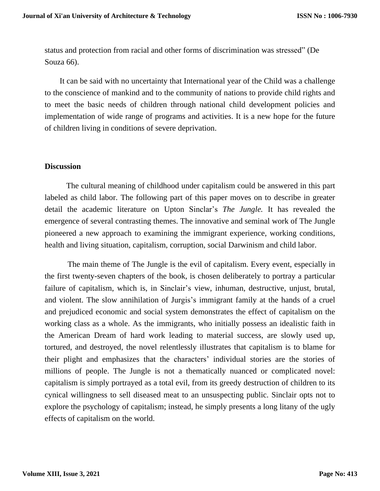status and protection from racial and other forms of discrimination was stressed" (De Souza 66).

It can be said with no uncertainty that International year of the Child was a challenge to the conscience of mankind and to the community of nations to provide child rights and to meet the basic needs of children through national child development policies and implementation of wide range of programs and activities. It is a new hope for the future of children living in conditions of severe deprivation.

### **Discussion**

The cultural meaning of childhood under capitalism could be answered in this part labeled as child labor. The following part of this paper moves on to describe in greater detail the academic literature on Upton Sinclar's *The Jungle.* It has revealed the emergence of several contrasting themes. The innovative and seminal work of The Jungle pioneered a new approach to examining the immigrant experience, working conditions, health and living situation, capitalism, corruption, social Darwinism and child labor.

The main theme of The Jungle is the evil of capitalism. Every event, especially in the first twenty-seven chapters of the book, is chosen deliberately to portray a particular failure of capitalism, which is, in Sinclair's view, inhuman, destructive, unjust, brutal, and violent. The slow annihilation of Jurgis's immigrant family at the hands of a cruel and prejudiced economic and social system demonstrates the effect of capitalism on the working class as a whole. As the immigrants, who initially possess an idealistic faith in the American Dream of hard work leading to material success, are slowly used up, tortured, and destroyed, the novel relentlessly illustrates that capitalism is to blame for their plight and emphasizes that the characters' individual stories are the stories of millions of people. The Jungle is not a thematically nuanced or complicated novel: capitalism is simply portrayed as a total evil, from its greedy destruction of children to its cynical willingness to sell diseased meat to an unsuspecting public. Sinclair opts not to explore the psychology of capitalism; instead, he simply presents a long litany of the ugly effects of capitalism on the world.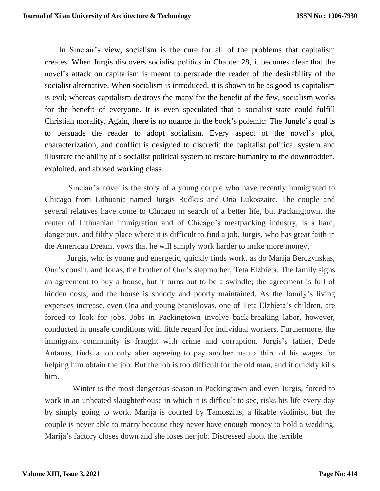In Sinclair's view, socialism is the cure for all of the problems that capitalism creates. When Jurgis discovers socialist politics in Chapter 28, it becomes clear that the novel's attack on capitalism is meant to persuade the reader of the desirability of the socialist alternative. When socialism is introduced, it is shown to be as good as capitalism is evil; whereas capitalism destroys the many for the benefit of the few, socialism works for the benefit of everyone. It is even speculated that a socialist state could fulfill Christian morality. Again, there is no nuance in the book's polemic: The Jungle's goal is to persuade the reader to adopt socialism. Every aspect of the novel's plot, characterization, and conflict is designed to discredit the capitalist political system and illustrate the ability of a socialist political system to restore humanity to the downtrodden, exploited, and abused working class.

Sinclair's novel is the story of a young couple who have recently immigrated to Chicago from Lithuania named Jurgis Rudkus and Ona Lukoszaite. The couple and several relatives have come to Chicago in search of a better life, but Packingtown, the center of Lithuanian immigration and of Chicago's meatpacking industry, is a hard, dangerous, and filthy place where it is difficult to find a job. Jurgis, who has great faith in the American Dream, vows that he will simply work harder to make more money.

Jurgis, who is young and energetic, quickly finds work, as do Marija Berczynskas, Ona's cousin, and Jonas, the brother of Ona's stepmother, Teta Elzbieta. The family signs an agreement to buy a house, but it turns out to be a swindle; the agreement is full of hidden costs, and the house is shoddy and poorly maintained. As the family's living expenses increase, even Ona and young Stanislovas, one of Teta Elzbieta's children, are forced to look for jobs. Jobs in Packingtown involve back-breaking labor, however, conducted in unsafe conditions with little regard for individual workers. Furthermore, the immigrant community is fraught with crime and corruption. Jurgis's father, Dede Antanas, finds a job only after agreeing to pay another man a third of his wages for helping him obtain the job. But the job is too difficult for the old man, and it quickly kills him.

Winter is the most dangerous season in Packingtown and even Jurgis, forced to work in an unheated slaughterhouse in which it is difficult to see, risks his life every day by simply going to work. Marija is courted by Tamoszius, a likable violinist, but the couple is never able to marry because they never have enough money to hold a wedding. Marija's factory closes down and she loses her job. Distressed about the terrible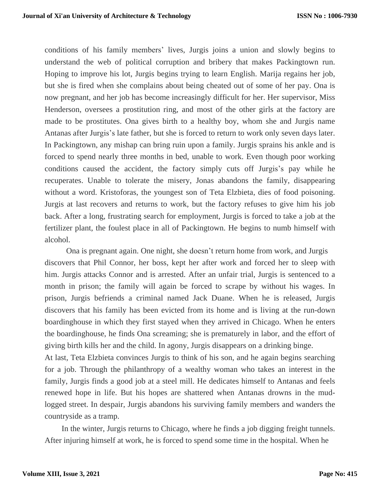conditions of his family members' lives, Jurgis joins a union and slowly begins to understand the web of political corruption and bribery that makes Packingtown run. Hoping to improve his lot, Jurgis begins trying to learn English. Marija regains her job, but she is fired when she complains about being cheated out of some of her pay. Ona is now pregnant, and her job has become increasingly difficult for her. Her supervisor, Miss Henderson, oversees a prostitution ring, and most of the other girls at the factory are made to be prostitutes. Ona gives birth to a healthy boy, whom she and Jurgis name Antanas after Jurgis's late father, but she is forced to return to work only seven days later. In Packingtown, any mishap can bring ruin upon a family. Jurgis sprains his ankle and is forced to spend nearly three months in bed, unable to work. Even though poor working conditions caused the accident, the factory simply cuts off Jurgis's pay while he recuperates. Unable to tolerate the misery, Jonas abandons the family, disappearing without a word. Kristoforas, the youngest son of Teta Elzbieta, dies of food poisoning. Jurgis at last recovers and returns to work, but the factory refuses to give him his job back. After a long, frustrating search for employment, Jurgis is forced to take a job at the fertilizer plant, the foulest place in all of Packingtown. He begins to numb himself with alcohol.

Ona is pregnant again. One night, she doesn't return home from work, and Jurgis discovers that Phil Connor, her boss, kept her after work and forced her to sleep with him. Jurgis attacks Connor and is arrested. After an unfair trial, Jurgis is sentenced to a month in prison; the family will again be forced to scrape by without his wages. In prison, Jurgis befriends a criminal named Jack Duane. When he is released, Jurgis discovers that his family has been evicted from its home and is living at the run-down boardinghouse in which they first stayed when they arrived in Chicago. When he enters the boardinghouse, he finds Ona screaming; she is prematurely in labor, and the effort of giving birth kills her and the child. In agony, Jurgis disappears on a drinking binge.

At last, Teta Elzbieta convinces Jurgis to think of his son, and he again begins searching for a job. Through the philanthropy of a wealthy woman who takes an interest in the family, Jurgis finds a good job at a steel mill. He dedicates himself to Antanas and feels renewed hope in life. But his hopes are shattered when Antanas drowns in the mudlogged street. In despair, Jurgis abandons his surviving family members and wanders the countryside as a tramp.

In the winter, Jurgis returns to Chicago, where he finds a job digging freight tunnels. After injuring himself at work, he is forced to spend some time in the hospital. When he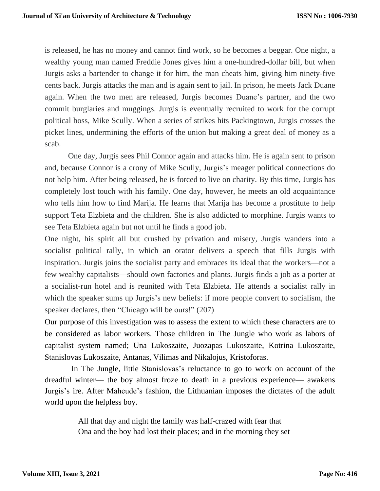is released, he has no money and cannot find work, so he becomes a beggar. One night, a wealthy young man named Freddie Jones gives him a one-hundred-dollar bill, but when Jurgis asks a bartender to change it for him, the man cheats him, giving him ninety-five cents back. Jurgis attacks the man and is again sent to jail. In prison, he meets Jack Duane again. When the two men are released, Jurgis becomes Duane's partner, and the two commit burglaries and muggings. Jurgis is eventually recruited to work for the corrupt political boss, Mike Scully. When a series of strikes hits Packingtown, Jurgis crosses the picket lines, undermining the efforts of the union but making a great deal of money as a scab.

One day, Jurgis sees Phil Connor again and attacks him. He is again sent to prison and, because Connor is a crony of Mike Scully, Jurgis's meager political connections do not help him. After being released, he is forced to live on charity. By this time, Jurgis has completely lost touch with his family. One day, however, he meets an old acquaintance who tells him how to find Marija. He learns that Marija has become a prostitute to help support Teta Elzbieta and the children. She is also addicted to morphine. Jurgis wants to see Teta Elzbieta again but not until he finds a good job.

One night, his spirit all but crushed by privation and misery, Jurgis wanders into a socialist political rally, in which an orator delivers a speech that fills Jurgis with inspiration. Jurgis joins the socialist party and embraces its ideal that the workers—not a few wealthy capitalists—should own factories and plants. Jurgis finds a job as a porter at a socialist-run hotel and is reunited with Teta Elzbieta. He attends a socialist rally in which the speaker sums up Jurgis's new beliefs: if more people convert to socialism, the speaker declares, then "Chicago will be ours!" (207)

Our purpose of this investigation was to assess the extent to which these characters are to be considered as labor workers. Those children in The Jungle who work as labors of capitalist system named; Una Lukoszaite, Juozapas Lukoszaite, Kotrina Lukoszaite, Stanislovas Lukoszaite, Antanas, Vilimas and Nikalojus, Kristoforas.

In The Jungle, little Stanislovas's reluctance to go to work on account of the dreadful winter— the boy almost froze to death in a previous experience— awakens Jurgis's ire. After Maheude's fashion, the Lithuanian imposes the dictates of the adult world upon the helpless boy.

> All that day and night the family was half-crazed with fear that Ona and the boy had lost their places; and in the morning they set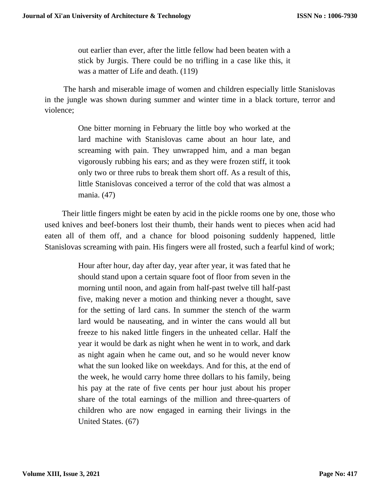out earlier than ever, after the little fellow had been beaten with a stick by Jurgis. There could be no trifling in a case like this, it was a matter of Life and death. (119)

The harsh and miserable image of women and children especially little Stanislovas in the jungle was shown during summer and winter time in a black torture, terror and violence;

> One bitter morning in February the little boy who worked at the lard machine with Stanislovas came about an hour late, and screaming with pain. They unwrapped him, and a man began vigorously rubbing his ears; and as they were frozen stiff, it took only two or three rubs to break them short off. As a result of this, little Stanislovas conceived a terror of the cold that was almost a mania. (47)

Their little fingers might be eaten by acid in the pickle rooms one by one, those who used knives and beef-boners lost their thumb, their hands went to pieces when acid had eaten all of them off, and a chance for blood poisoning suddenly happened, little Stanislovas screaming with pain. His fingers were all frosted, such a fearful kind of work;

> Hour after hour, day after day, year after year, it was fated that he should stand upon a certain square foot of floor from seven in the morning until noon, and again from half-past twelve till half-past five, making never a motion and thinking never a thought, save for the setting of lard cans. In summer the stench of the warm lard would be nauseating, and in winter the cans would all but freeze to his naked little fingers in the unheated cellar. Half the year it would be dark as night when he went in to work, and dark as night again when he came out, and so he would never know what the sun looked like on weekdays. And for this, at the end of the week, he would carry home three dollars to his family, being his pay at the rate of five cents per hour just about his proper share of the total earnings of the million and three-quarters of children who are now engaged in earning their livings in the United States. (67)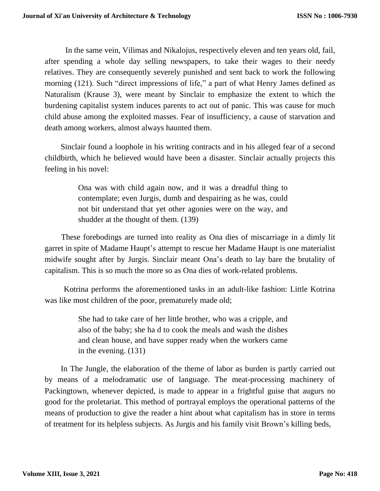In the same vein, Vilimas and Nikalojus, respectively eleven and ten years old, fail, after spending a whole day selling newspapers, to take their wages to their needy relatives. They are consequently severely punished and sent back to work the following morning (121). Such "direct impressions of life," a part of what Henry James defined as Naturalism (Krause 3), were meant by Sinclair to emphasize the extent to which the burdening capitalist system induces parents to act out of panic. This was cause for much child abuse among the exploited masses. Fear of insufficiency, a cause of starvation and death among workers, almost always haunted them.

Sinclair found a loophole in his writing contracts and in his alleged fear of a second childbirth, which he believed would have been a disaster. Sinclair actually projects this feeling in his novel:

> Ona was with child again now, and it was a dreadful thing to contemplate; even Jurgis, dumb and despairing as he was, could not bit understand that yet other agonies were on the way, and shudder at the thought of them. (139)

These forebodings are turned into reality as Ona dies of miscarriage in a dimly lit garret in spite of Madame Haupt's attempt to rescue her Madame Haupt is one materialist midwife sought after by Jurgis. Sinclair meant Ona's death to lay bare the brutality of capitalism. This is so much the more so as Ona dies of work-related problems.

Kotrina performs the aforementioned tasks in an adult-like fashion: Little Kotrina was like most children of the poor, prematurely made old;

> She had to take care of her little brother, who was a cripple, and also of the baby; she ha d to cook the meals and wash the dishes and clean house, and have supper ready when the workers came in the evening. (131)

In The Jungle, the elaboration of the theme of labor as burden is partly carried out by means of a melodramatic use of language. The meat-processing machinery of Packingtown, whenever depicted, is made to appear in a frightful guise that augurs no good for the proletariat. This method of portrayal employs the operational patterns of the means of production to give the reader a hint about what capitalism has in store in terms of treatment for its helpless subjects. As Jurgis and his family visit Brown's killing beds,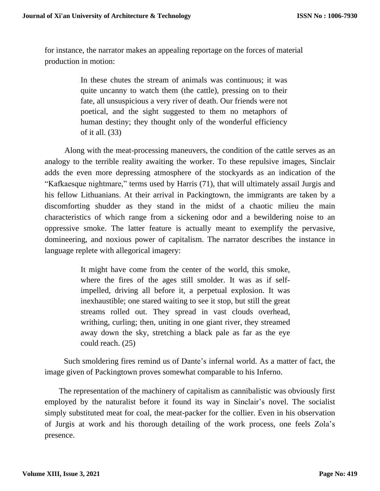for instance, the narrator makes an appealing reportage on the forces of material production in motion:

> In these chutes the stream of animals was continuous; it was quite uncanny to watch them (the cattle), pressing on to their fate, all unsuspicious a very river of death. Our friends were not poetical, and the sight suggested to them no metaphors of human destiny; they thought only of the wonderful efficiency of it all. (33)

Along with the meat-processing maneuvers, the condition of the cattle serves as an analogy to the terrible reality awaiting the worker. To these repulsive images, Sinclair adds the even more depressing atmosphere of the stockyards as an indication of the "Kafkaesque nightmare," terms used by Harris (71), that will ultimately assail Jurgis and his fellow Lithuanians. At their arrival in Packingtown, the immigrants are taken by a discomforting shudder as they stand in the midst of a chaotic milieu the main characteristics of which range from a sickening odor and a bewildering noise to an oppressive smoke. The latter feature is actually meant to exemplify the pervasive, domineering, and noxious power of capitalism. The narrator describes the instance in language replete with allegorical imagery:

> It might have come from the center of the world, this smoke, where the fires of the ages still smolder. It was as if selfimpelled, driving all before it, a perpetual explosion. It was inexhaustible; one stared waiting to see it stop, but still the great streams rolled out. They spread in vast clouds overhead, writhing, curling; then, uniting in one giant river, they streamed away down the sky, stretching a black pale as far as the eye could reach. (25)

Such smoldering fires remind us of Dante's infernal world. As a matter of fact, the image given of Packingtown proves somewhat comparable to his Inferno.

The representation of the machinery of capitalism as cannibalistic was obviously first employed by the naturalist before it found its way in Sinclair's novel. The socialist simply substituted meat for coal, the meat-packer for the collier. Even in his observation of Jurgis at work and his thorough detailing of the work process, one feels Zola's presence.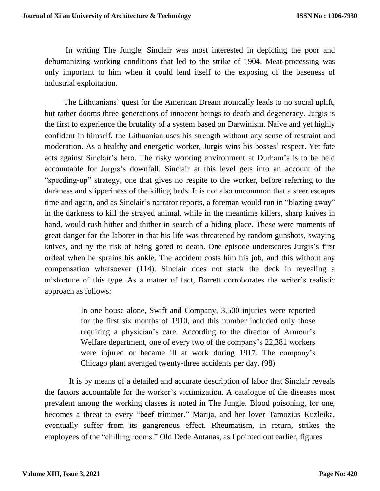In writing The Jungle, Sinclair was most interested in depicting the poor and dehumanizing working conditions that led to the strike of 1904. Meat-processing was only important to him when it could lend itself to the exposing of the baseness of industrial exploitation.

The Lithuanians' quest for the American Dream ironically leads to no social uplift, but rather dooms three generations of innocent beings to death and degeneracy. Jurgis is the first to experience the brutality of a system based on Darwinism. Naïve and yet highly confident in himself, the Lithuanian uses his strength without any sense of restraint and moderation. As a healthy and energetic worker, Jurgis wins his bosses' respect. Yet fate acts against Sinclair's hero. The risky working environment at Durham's is to be held accountable for Jurgis's downfall. Sinclair at this level gets into an account of the "speeding-up" strategy, one that gives no respite to the worker, before referring to the darkness and slipperiness of the killing beds. It is not also uncommon that a steer escapes time and again, and as Sinclair's narrator reports, a foreman would run in "blazing away" in the darkness to kill the strayed animal, while in the meantime killers, sharp knives in hand, would rush hither and thither in search of a hiding place. These were moments of great danger for the laborer in that his life was threatened by random gunshots, swaying knives, and by the risk of being gored to death. One episode underscores Jurgis's first ordeal when he sprains his ankle. The accident costs him his job, and this without any compensation whatsoever (114). Sinclair does not stack the deck in revealing a misfortune of this type. As a matter of fact, Barrett corroborates the writer's realistic approach as follows:

> In one house alone, Swift and Company, 3,500 injuries were reported for the first six months of 1910, and this number included only those requiring a physician's care. According to the director of Armour's Welfare department, one of every two of the company's 22,381 workers were injured or became ill at work during 1917. The company's Chicago plant averaged twenty-three accidents per day. (98)

It is by means of a detailed and accurate description of labor that Sinclair reveals the factors accountable for the worker's victimization. A catalogue of the diseases most prevalent among the working classes is noted in The Jungle. Blood poisoning, for one, becomes a threat to every "beef trimmer." Marija, and her lover Tamozius Kuzleika, eventually suffer from its gangrenous effect. Rheumatism, in return, strikes the employees of the "chilling rooms." Old Dede Antanas, as I pointed out earlier, figures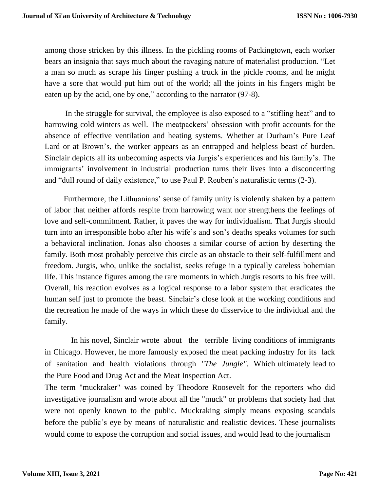among those stricken by this illness. In the pickling rooms of Packingtown, each worker bears an insignia that says much about the ravaging nature of materialist production. "Let a man so much as scrape his finger pushing a truck in the pickle rooms, and he might have a sore that would put him out of the world; all the joints in his fingers might be eaten up by the acid, one by one," according to the narrator (97-8).

In the struggle for survival, the employee is also exposed to a "stifling heat" and to harrowing cold winters as well. The meatpackers' obsession with profit accounts for the absence of effective ventilation and heating systems. Whether at Durham's Pure Leaf Lard or at Brown's, the worker appears as an entrapped and helpless beast of burden. Sinclair depicts all its unbecoming aspects via Jurgis's experiences and his family's. The immigrants' involvement in industrial production turns their lives into a disconcerting and "dull round of daily existence," to use Paul P. Reuben's naturalistic terms (2-3).

Furthermore, the Lithuanians' sense of family unity is violently shaken by a pattern of labor that neither affords respite from harrowing want nor strengthens the feelings of love and self-commitment. Rather, it paves the way for individualism. That Jurgis should turn into an irresponsible hobo after his wife's and son's deaths speaks volumes for such a behavioral inclination. Jonas also chooses a similar course of action by deserting the family. Both most probably perceive this circle as an obstacle to their self-fulfillment and freedom. Jurgis, who, unlike the socialist, seeks refuge in a typically careless bohemian life. This instance figures among the rare moments in which Jurgis resorts to his free will. Overall, his reaction evolves as a logical response to a labor system that eradicates the human self just to promote the beast. Sinclair's close look at the working conditions and the recreation he made of the ways in which these do disservice to the individual and the family.

In his novel, Sinclair wrote about the terrible living conditions of immigrants in Chicago. However, he more famously exposed the meat packing industry for its lack of sanitation and health violations through *"The Jungle"*. Which ultimately lead to the Pure Food and Drug Act and the Meat Inspection Act.

The term "muckraker" was coined by Theodore Roosevelt for the reporters who did investigative journalism and wrote about all the "muck" or problems that society had that were not openly known to the public. Muckraking simply means exposing scandals before the public's eye by means of naturalistic and realistic devices. These journalists would come to expose the corruption and social issues, and would lead to the journalism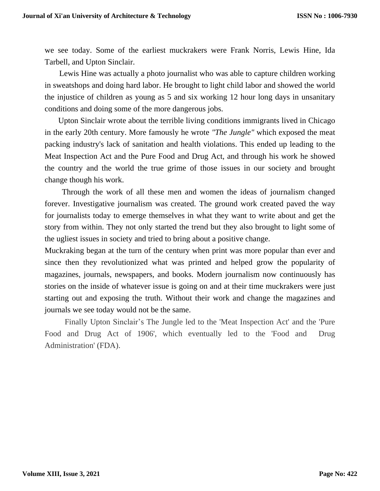we see today. Some of the earliest muckrakers were Frank Norris, Lewis Hine, Ida Tarbell, and Upton Sinclair.

Lewis Hine was actually a photo journalist who was able to capture children working in sweatshops and doing hard labor. He brought to light child labor and showed the world the injustice of children as young as 5 and six working 12 hour long days in unsanitary conditions and doing some of the more dangerous jobs.

Upton Sinclair wrote about the terrible living conditions immigrants lived in Chicago in the early 20th century. More famously he wrote *"The Jungle"* which exposed the meat packing industry's lack of sanitation and health violations. This ended up leading to the Meat Inspection Act and the Pure Food and Drug Act, and through his work he showed the country and the world the true grime of those issues in our society and brought change though his work.

Through the work of all these men and women the ideas of journalism changed forever. Investigative journalism was created. The ground work created paved the way for journalists today to emerge themselves in what they want to write about and get the story from within. They not only started the trend but they also brought to light some of the ugliest issues in society and tried to bring about a positive change.

Muckraking began at the turn of the century when print was more popular than ever and since then they revolutionized what was printed and helped grow the popularity of magazines, journals, newspapers, and books. Modern journalism now continuously has stories on the inside of whatever issue is going on and at their time muckrakers were just starting out and exposing the truth. Without their work and change the magazines and journals we see today would not be the same.

Finally Upton Sinclair's The Jungle led to the 'Meat Inspection Act' and the 'Pure Food and Drug Act of 1906', which eventually led to the 'Food and Drug Administration' (FDA).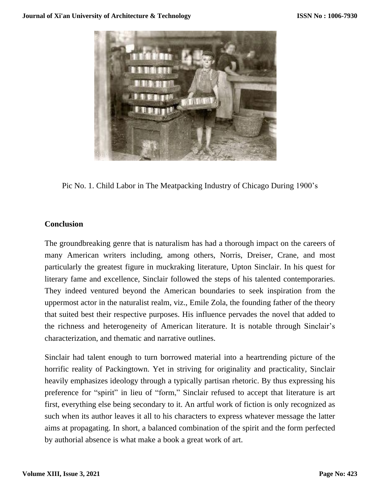

Pic No. 1. Child Labor in The Meatpacking Industry of Chicago During 1900's

## **Conclusion**

The groundbreaking genre that is naturalism has had a thorough impact on the careers of many American writers including, among others, Norris, Dreiser, Crane, and most particularly the greatest figure in muckraking literature, Upton Sinclair. In his quest for literary fame and excellence, Sinclair followed the steps of his talented contemporaries. They indeed ventured beyond the American boundaries to seek inspiration from the uppermost actor in the naturalist realm, viz., Emile Zola, the founding father of the theory that suited best their respective purposes. His influence pervades the novel that added to the richness and heterogeneity of American literature. It is notable through Sinclair's characterization, and thematic and narrative outlines.

Sinclair had talent enough to turn borrowed material into a heartrending picture of the horrific reality of Packingtown. Yet in striving for originality and practicality, Sinclair heavily emphasizes ideology through a typically partisan rhetoric. By thus expressing his preference for "spirit" in lieu of "form," Sinclair refused to accept that literature is art first, everything else being secondary to it. An artful work of fiction is only recognized as such when its author leaves it all to his characters to express whatever message the latter aims at propagating. In short, a balanced combination of the spirit and the form perfected by authorial absence is what make a book a great work of art.